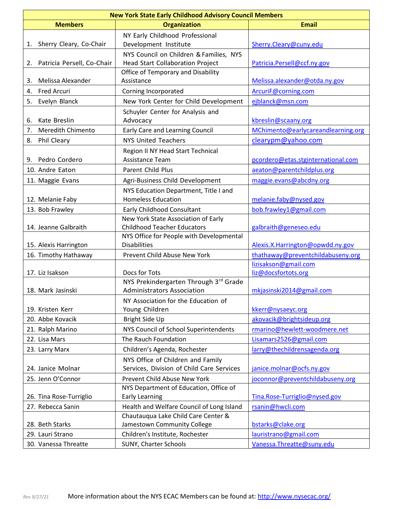| <b>New York State Early Childhood Advisory Council Members</b> |                                              |                                             |  |  |
|----------------------------------------------------------------|----------------------------------------------|---------------------------------------------|--|--|
| <b>Members</b>                                                 | <b>Organization</b>                          | <b>Email</b>                                |  |  |
|                                                                | NY Early Childhood Professional              |                                             |  |  |
| Sherry Cleary, Co-Chair<br>1.                                  | Development Institute                        | Sherry.Cleary@cuny.edu                      |  |  |
|                                                                | NYS Council on Children & Families, NYS      |                                             |  |  |
| Patricia Persell, Co-Chair<br>2.                               | <b>Head Start Collaboration Project</b>      | Patricia.Persell@ccf.ny.gov                 |  |  |
|                                                                | Office of Temporary and Disability           |                                             |  |  |
| Melissa Alexander<br>3.                                        | Assistance                                   | Melissa.alexander@otda.ny.gov               |  |  |
| <b>Fred Arcuri</b><br>4.                                       | Corning Incorporated                         | ArcuriF@corning.com                         |  |  |
| 5.<br>Evelyn Blanck                                            | New York Center for Child Development        | ejblanck@msn.com                            |  |  |
| Kate Breslin<br>6.                                             | Schuyler Center for Analysis and<br>Advocacy | kbreslin@scaany.org                         |  |  |
| <b>Meredith Chimento</b><br>7.                                 | Early Care and Learning Council              | MChimento@earlycareandlearning.org          |  |  |
| Phil Cleary<br>8.                                              | <b>NYS United Teachers</b>                   | clearypm@yahoo.com                          |  |  |
|                                                                | Region II NY Head Start Technical            |                                             |  |  |
| Pedro Cordero<br>9.                                            | Assistance Team                              | pcordero@etas.stginternational.com          |  |  |
| 10. Andre Eaton                                                | Parent Child Plus                            | aeaton@parentchildplus.org                  |  |  |
| 11. Maggie Evans                                               | Agri-Business Child Development              | maggie.evans@abcdny.org                     |  |  |
|                                                                | NYS Education Department, Title I and        |                                             |  |  |
| 12. Melanie Faby                                               | <b>Homeless Education</b>                    | melanie.faby@nysed.gov                      |  |  |
| 13. Bob Frawley                                                | <b>Early Childhood Consultant</b>            | bob.frawley1@gmail.com                      |  |  |
|                                                                | New York State Association of Early          |                                             |  |  |
| 14. Jeanne Galbraith                                           | <b>Childhood Teacher Educators</b>           | galbraith@geneseo.edu                       |  |  |
|                                                                | NYS Office for People with Developmental     |                                             |  |  |
| 15. Alexis Harrington                                          | <b>Disabilities</b>                          | Alexis.X.Harrington@opwdd.ny.gov            |  |  |
| 16. Timothy Hathaway                                           | Prevent Child Abuse New York                 | thathaway@preventchildabuseny.org           |  |  |
| 17. Liz Isakson                                                | Docs for Tots                                | lizisakson@gmail.com<br>liz@docsfortots.org |  |  |
|                                                                | NYS Prekindergarten Through 3rd Grade        |                                             |  |  |
| 18. Mark Jasinski                                              | <b>Administrators Association</b>            | mkjasinski2014@gmail.com                    |  |  |
|                                                                | NY Association for the Education of          |                                             |  |  |
| 19. Kristen Kerr                                               | Young Children                               | kkerr@nysaeyc.org                           |  |  |
| 20. Abbe Kovacik                                               | Bright Side Up                               | akovacik@brightsideup.org                   |  |  |
| 21. Ralph Marino                                               | NYS Council of School Superintendents        | rmarino@hewlett-woodmere.net                |  |  |
| 22. Lisa Mars                                                  | The Rauch Foundation                         | Lisamars2526@gmail.com                      |  |  |
| 23. Larry Marx                                                 | Children's Agenda, Rochester                 | larry@thechildrensagenda.org                |  |  |
|                                                                | NYS Office of Children and Family            |                                             |  |  |
| 24. Janice Molnar                                              | Services, Division of Child Care Services    | janice.molnar@ocfs.ny.gov                   |  |  |
| 25. Jenn O'Connor                                              | Prevent Child Abuse New York                 | joconnor@preventchildabuseny.org            |  |  |
|                                                                | NYS Department of Education, Office of       |                                             |  |  |
| 26. Tina Rose-Turriglio                                        | <b>Early Learning</b>                        | Tina.Rose-Turriglio@nysed.gov               |  |  |
| 27. Rebecca Sanin                                              | Health and Welfare Council of Long Island    | rsanin@hwcli.com                            |  |  |
|                                                                | Chautauqua Lake Child Care Center &          |                                             |  |  |
| 28. Beth Starks                                                | Jamestown Community College                  | bstarks@clake.org                           |  |  |
| 29. Lauri Strano                                               | Children's Institute, Rochester              | lauristrano@gmail.com                       |  |  |
| 30. Vanessa Threatte                                           | SUNY, Charter Schools                        | Vanessa. Threatte@suny.edu                  |  |  |